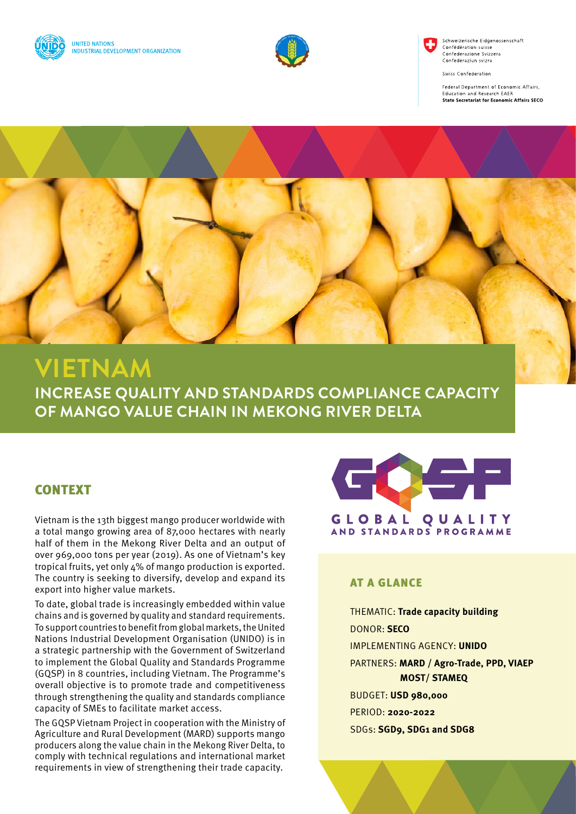



Schweizerische Eidgenossenschaft Confédération suisse Confederazione Svizzer Confederaziun svizra

Swiss Confederation

Federal Department of Economic Affairs, **Education and Research EAER** State Secretariat for Economic Affairs SECO



# **VIETNAM**

**INCREASE QUALITY AND STANDARDS COMPLIANCE CAPACITY OF MANGO VALUE CHAIN IN MEKONG RIVER DELTA**

## CONTEXT

Vietnam is the 13th biggest mango producer worldwide with a total mango growing area of 87,000 hectares with nearly half of them in the Mekong River Delta and an output of over 969,000 tons per year (2019). As one of Vietnam's key tropical fruits, yet only 4% of mango production is exported. The country is seeking to diversify, develop and expand its export into higher value markets.

To date, global trade is increasingly embedded within value chains and is governed by quality and standard requirements. To support countries to benefit from global markets, the United Nations Industrial Development Organisation (UNIDO) is in a strategic partnership with the Government of Switzerland to implement the Global Quality and Standards Programme (GQSP) in 8 countries, including Vietnam. The Programme's overall objective is to promote trade and competitiveness through strengthening the quality and standards compliance capacity of SMEs to facilitate market access.

The GQSP Vietnam Project in cooperation with the Ministry of Agriculture and Rural Development (MARD) supports mango producers along the value chain in the Mekong River Delta, to comply with technical regulations and international market requirements in view of strengthening their trade capacity.



#### AT A GLANCE

THEMATIC: **Trade capacity building** DONOR: **SECO** IMPLEMENTING AGENCY: **UNIDO** PARTNERS: **MARD / Agro-Trade, PPD, VIAEP MOST/ STAMEQ** BUDGET: **USD 980,000** PERIOD: **2020-2022** SDGs: **SGD9, SDG1 and SDG8**